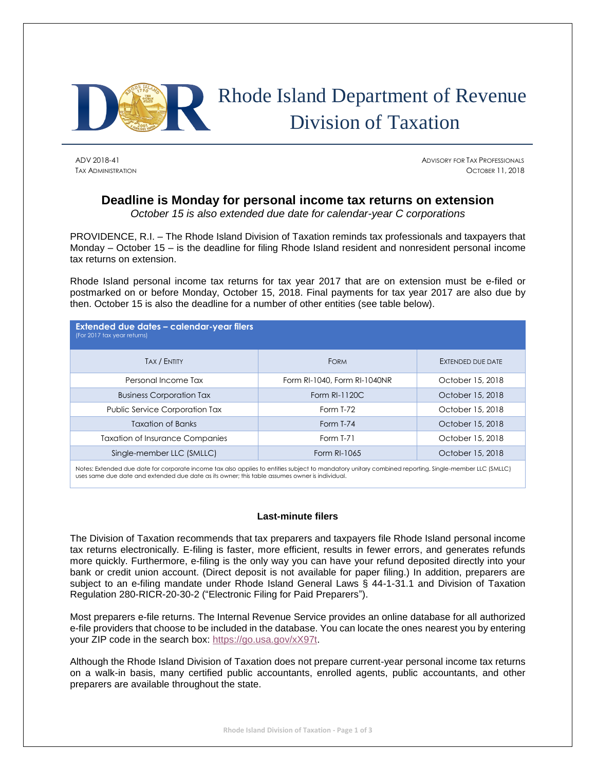

# Rhode Island Department of Revenue Division of Taxation

ADV 2018-41 ADVISORY FOR TAX PROFESSIONALS TAX ADMINISTRATION OCTOBER 11, 2018

# **Deadline is Monday for personal income tax returns on extension**

*October 15 is also extended due date for calendar-year C corporations*

PROVIDENCE, R.I. – The Rhode Island Division of Taxation reminds tax professionals and taxpayers that Monday – October 15 – is the deadline for filing Rhode Island resident and nonresident personal income tax returns on extension.

Rhode Island personal income tax returns for tax year 2017 that are on extension must be e-filed or postmarked on or before Monday, October 15, 2018. Final payments for tax year 2017 are also due by then. October 15 is also the deadline for a number of other entities (see table below).

| <b>Extended due dates - calendar-year filers</b><br>(For 2017 tax year returns) |                              |                   |
|---------------------------------------------------------------------------------|------------------------------|-------------------|
| <b>TAX / ENTITY</b>                                                             | <b>FORM</b>                  | EXTENDED DUE DATE |
| Personal Income Tax                                                             | Form RI-1040, Form RI-1040NR | October 15, 2018  |
| <b>Business Corporation Tax</b>                                                 | Form RI-1120C                | October 15, 2018  |
| <b>Public Service Corporation Tax</b>                                           | Form T-72                    | October 15, 2018  |
| <b>Taxation of Banks</b>                                                        | Form T-74                    | October 15, 2018  |
| <b>Taxation of Insurance Companies</b>                                          | <b>Form T-71</b>             | October 15, 2018  |
| Single-member LLC (SMLLC)                                                       | Form RI-1065                 | October 15, 2018  |

Notes: Extended due date for corporate income tax also applies to entities subject to mandatory unitary combined reporting. Single-member LLC (SMLLC) uses same due date and extended due date as its owner; this table assumes owner is individual.

# **Last-minute filers**

The Division of Taxation recommends that tax preparers and taxpayers file Rhode Island personal income tax returns electronically. E-filing is faster, more efficient, results in fewer errors, and generates refunds more quickly. Furthermore, e-filing is the only way you can have your refund deposited directly into your bank or credit union account. (Direct deposit is not available for paper filing.) In addition, preparers are subject to an e-filing mandate under Rhode Island General Laws § 44-1-31.1 and Division of Taxation Regulation 280-RICR-20-30-2 ("Electronic Filing for Paid Preparers").

Most preparers e-file returns. The Internal Revenue Service provides an online database for all authorized e-file providers that choose to be included in the database. You can locate the ones nearest you by entering your ZIP code in the search box: [https://go.usa.gov/xX97t.](https://go.usa.gov/xX97t)

Although the Rhode Island Division of Taxation does not prepare current-year personal income tax returns on a walk-in basis, many certified public accountants, enrolled agents, public accountants, and other preparers are available throughout the state.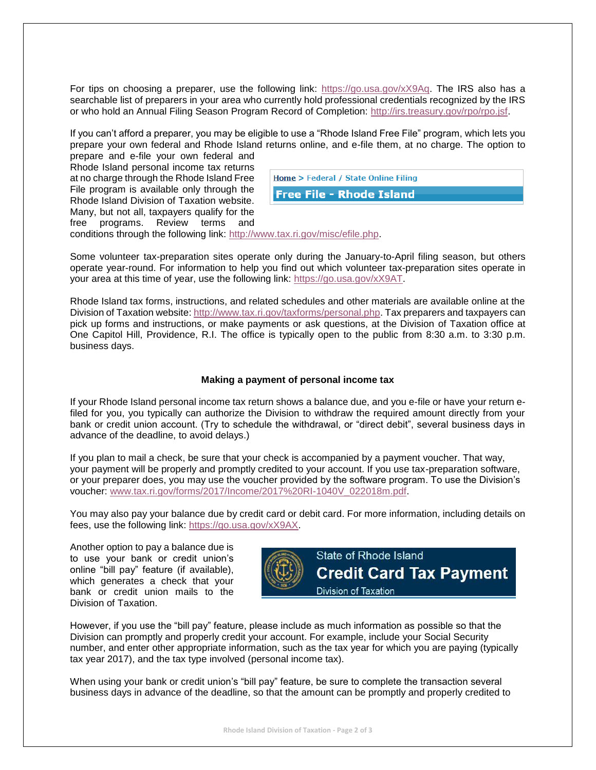For tips on choosing a preparer, use the following link: [https://go.usa.gov/xX9Aq.](https://go.usa.gov/xX9Aq) The IRS also has a searchable list of preparers in your area who currently hold professional credentials recognized by the IRS or who hold an Annual Filing Season Program Record of Completion: [http://irs.treasury.gov/rpo/rpo.jsf.](http://irs.treasury.gov/rpo/rpo.jsf)

If you can't afford a preparer, you may be eligible to use a "Rhode Island Free File" program, which lets you prepare your own federal and Rhode Island returns online, and e-file them, at no charge. The option to prepare and e-file your own federal and

Rhode Island personal income tax returns at no charge through the Rhode Island Free File program is available only through the Rhode Island Division of Taxation website. Many, but not all, taxpayers qualify for the free programs. Review terms and

| Home > Federal / State Online Filing |
|--------------------------------------|
| <b>Free File - Rhode Island</b>      |
|                                      |

conditions through the following link: [http://www.tax.ri.gov/misc/efile.php.](http://www.tax.ri.gov/misc/efile.php)

Some volunteer tax-preparation sites operate only during the January-to-April filing season, but others operate year-round. For information to help you find out which volunteer tax-preparation sites operate in your area at this time of year, use the following link: [https://go.usa.gov/xX9AT.](https://go.usa.gov/xX9AT)

Rhode Island tax forms, instructions, and related schedules and other materials are available online at the Division of Taxation website: [http://www.tax.ri.gov/taxforms/personal.php.](http://www.tax.ri.gov/taxforms/personal.php) Tax preparers and taxpayers can pick up forms and instructions, or make payments or ask questions, at the Division of Taxation office at One Capitol Hill, Providence, R.I. The office is typically open to the public from 8:30 a.m. to 3:30 p.m. business days.

## **Making a payment of personal income tax**

If your Rhode Island personal income tax return shows a balance due, and you e-file or have your return efiled for you, you typically can authorize the Division to withdraw the required amount directly from your bank or credit union account. (Try to schedule the withdrawal, or "direct debit", several business days in advance of the deadline, to avoid delays.)

If you plan to mail a check, be sure that your check is accompanied by a payment voucher. That way, your payment will be properly and promptly credited to your account. If you use tax-preparation software, or your preparer does, you may use the voucher provided by the software program. To use the Division's voucher: [www.tax.ri.gov/forms/2017/Income/2017%20RI-1040V\\_022018m.pdf.](http://www.tax.ri.gov/forms/2017/Income/2017%20RI-1040V_022018m.pdf)

You may also pay your balance due by credit card or debit card. For more information, including details on fees, use the following link: [https://go.usa.gov/xX9AX.](https://go.usa.gov/xX9AX)

Another option to pay a balance due is to use your bank or credit union's online "bill pay" feature (if available), which generates a check that your bank or credit union mails to the Division of Taxation.



However, if you use the "bill pay" feature, please include as much information as possible so that the Division can promptly and properly credit your account. For example, include your Social Security number, and enter other appropriate information, such as the tax year for which you are paying (typically tax year 2017), and the tax type involved (personal income tax).

When using your bank or credit union's "bill pay" feature, be sure to complete the transaction several business days in advance of the deadline, so that the amount can be promptly and properly credited to